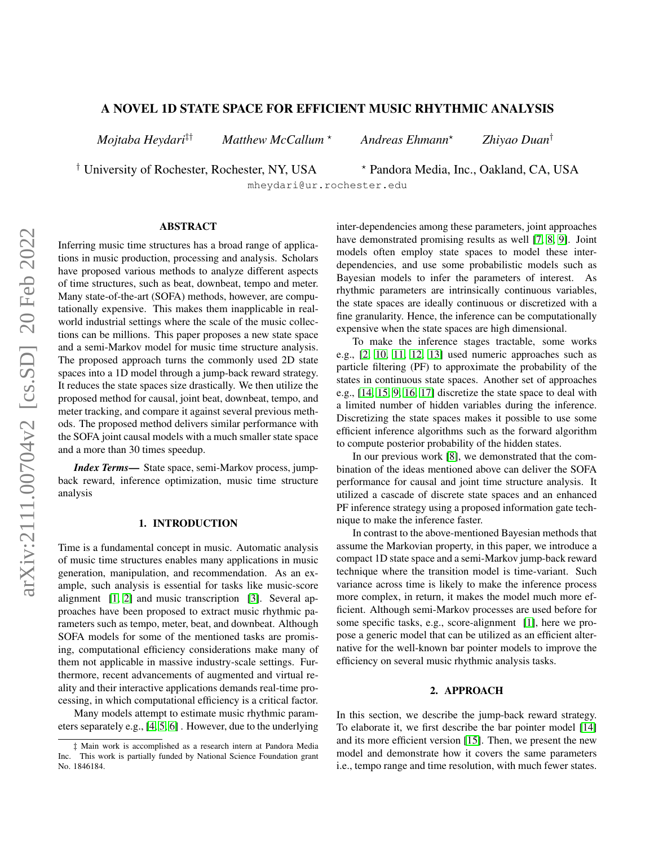# A NOVEL 1D STATE SPACE FOR EFFICIENT MUSIC RHYTHMIC ANALYSIS

*Mojtaba Heydari*‡† *Matthew McCallum* ? *Andreas Ehmann*? *Zhiyao Duan*†

<sup>†</sup> University of Rochester, Rochester, NY, USA  $\longrightarrow$  Pandora Media, Inc., Oakland, CA, USA

mheydari@ur.rochester.edu

### ABSTRACT

Inferring music time structures has a broad range of applications in music production, processing and analysis. Scholars have proposed various methods to analyze different aspects of time structures, such as beat, downbeat, tempo and meter. Many state-of-the-art (SOFA) methods, however, are computationally expensive. This makes them inapplicable in realworld industrial settings where the scale of the music collections can be millions. This paper proposes a new state space and a semi-Markov model for music time structure analysis. The proposed approach turns the commonly used 2D state spaces into a 1D model through a jump-back reward strategy. It reduces the state spaces size drastically. We then utilize the proposed method for causal, joint beat, downbeat, tempo, and meter tracking, and compare it against several previous methods. The proposed method delivers similar performance with the SOFA joint causal models with a much smaller state space and a more than 30 times speedup.

*Index Terms*— State space, semi-Markov process, jumpback reward, inference optimization, music time structure analysis

## 1. INTRODUCTION

Time is a fundamental concept in music. Automatic analysis of music time structures enables many applications in music generation, manipulation, and recommendation. As an example, such analysis is essential for tasks like music-score alignment [\[1,](#page-4-0) [2\]](#page-4-1) and music transcription [\[3\]](#page-4-2). Several approaches have been proposed to extract music rhythmic parameters such as tempo, meter, beat, and downbeat. Although SOFA models for some of the mentioned tasks are promising, computational efficiency considerations make many of them not applicable in massive industry-scale settings. Furthermore, recent advancements of augmented and virtual reality and their interactive applications demands real-time processing, in which computational efficiency is a critical factor.

Many models attempt to estimate music rhythmic parameters separately e.g., [\[4,](#page-4-3) [5,](#page-4-4) [6\]](#page-4-5) . However, due to the underlying inter-dependencies among these parameters, joint approaches have demonstrated promising results as well [\[7,](#page-4-6) [8,](#page-4-7) [9\]](#page-4-8). Joint models often employ state spaces to model these interdependencies, and use some probabilistic models such as Bayesian models to infer the parameters of interest. As rhythmic parameters are intrinsically continuous variables, the state spaces are ideally continuous or discretized with a fine granularity. Hence, the inference can be computationally expensive when the state spaces are high dimensional.

To make the inference stages tractable, some works e.g., [\[2,](#page-4-1) [10,](#page-4-9) [11,](#page-4-10) [12,](#page-4-11) [13\]](#page-4-12) used numeric approaches such as particle filtering (PF) to approximate the probability of the states in continuous state spaces. Another set of approaches e.g., [\[14,](#page-4-13) [15,](#page-4-14) [9,](#page-4-8) [16,](#page-4-15) [17\]](#page-4-16) discretize the state space to deal with a limited number of hidden variables during the inference. Discretizing the state spaces makes it possible to use some efficient inference algorithms such as the forward algorithm to compute posterior probability of the hidden states.

In our previous work [\[8\]](#page-4-7), we demonstrated that the combination of the ideas mentioned above can deliver the SOFA performance for causal and joint time structure analysis. It utilized a cascade of discrete state spaces and an enhanced PF inference strategy using a proposed information gate technique to make the inference faster.

In contrast to the above-mentioned Bayesian methods that assume the Markovian property, in this paper, we introduce a compact 1D state space and a semi-Markov jump-back reward technique where the transition model is time-variant. Such variance across time is likely to make the inference process more complex, in return, it makes the model much more efficient. Although semi-Markov processes are used before for some specific tasks, e.g., score-alignment [\[1\]](#page-4-0), here we propose a generic model that can be utilized as an efficient alternative for the well-known bar pointer models to improve the efficiency on several music rhythmic analysis tasks.

#### 2. APPROACH

In this section, we describe the jump-back reward strategy. To elaborate it, we first describe the bar pointer model [\[14\]](#page-4-13) and its more efficient version [\[15\]](#page-4-14). Then, we present the new model and demonstrate how it covers the same parameters i.e., tempo range and time resolution, with much fewer states.

<sup>‡</sup> Main work is accomplished as a research intern at Pandora Media Inc. This work is partially funded by National Science Foundation grant No. 1846184.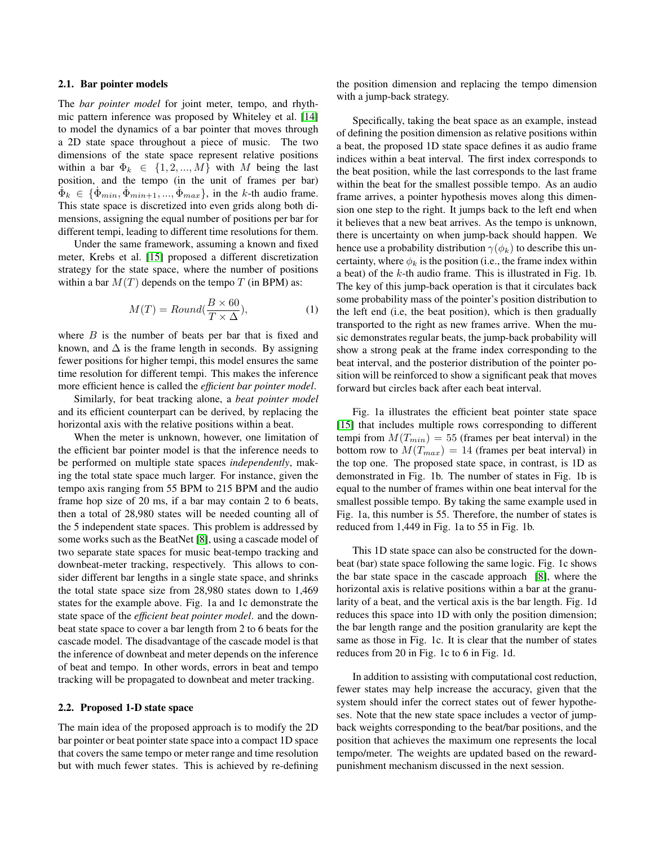#### 2.1. Bar pointer models

The *bar pointer model* for joint meter, tempo, and rhythmic pattern inference was proposed by Whiteley et al. [\[14\]](#page-4-13) to model the dynamics of a bar pointer that moves through a 2D state space throughout a piece of music. The two dimensions of the state space represent relative positions within a bar  $\Phi_k \in \{1, 2, ..., M\}$  with M being the last position, and the tempo (in the unit of frames per bar)  $\hat{\Phi}_k \in {\{\dot{\Phi}_{min}, \dot{\Phi}_{min+1}, ..., \dot{\Phi}_{max}\}}$ , in the k-th audio frame. This state space is discretized into even grids along both dimensions, assigning the equal number of positions per bar for different tempi, leading to different time resolutions for them.

Under the same framework, assuming a known and fixed meter, Krebs et al. [\[15\]](#page-4-14) proposed a different discretization strategy for the state space, where the number of positions within a bar  $M(T)$  depends on the tempo T (in BPM) as:

$$
M(T) = Round(\frac{B \times 60}{T \times \Delta}),
$$
\n(1)

where  $B$  is the number of beats per bar that is fixed and known, and  $\Delta$  is the frame length in seconds. By assigning fewer positions for higher tempi, this model ensures the same time resolution for different tempi. This makes the inference more efficient hence is called the *efficient bar pointer model*.

Similarly, for beat tracking alone, a *beat pointer model* and its efficient counterpart can be derived, by replacing the horizontal axis with the relative positions within a beat.

When the meter is unknown, however, one limitation of the efficient bar pointer model is that the inference needs to be performed on multiple state spaces *independently*, making the total state space much larger. For instance, given the tempo axis ranging from 55 BPM to 215 BPM and the audio frame hop size of 20 ms, if a bar may contain 2 to 6 beats, then a total of 28,980 states will be needed counting all of the 5 independent state spaces. This problem is addressed by some works such as the BeatNet [\[8\]](#page-4-7), using a cascade model of two separate state spaces for music beat-tempo tracking and downbeat-meter tracking, respectively. This allows to consider different bar lengths in a single state space, and shrinks the total state space size from 28,980 states down to 1,469 states for the example above. Fig. 1a and 1c demonstrate the state space of the *efficient beat pointer model*. and the downbeat state space to cover a bar length from 2 to 6 beats for the cascade model. The disadvantage of the cascade model is that the inference of downbeat and meter depends on the inference of beat and tempo. In other words, errors in beat and tempo tracking will be propagated to downbeat and meter tracking.

## 2.2. Proposed 1-D state space

The main idea of the proposed approach is to modify the 2D bar pointer or beat pointer state space into a compact 1D space that covers the same tempo or meter range and time resolution but with much fewer states. This is achieved by re-defining the position dimension and replacing the tempo dimension with a jump-back strategy.

Specifically, taking the beat space as an example, instead of defining the position dimension as relative positions within a beat, the proposed 1D state space defines it as audio frame indices within a beat interval. The first index corresponds to the beat position, while the last corresponds to the last frame within the beat for the smallest possible tempo. As an audio frame arrives, a pointer hypothesis moves along this dimension one step to the right. It jumps back to the left end when it believes that a new beat arrives. As the tempo is unknown, there is uncertainty on when jump-back should happen. We hence use a probability distribution  $\gamma(\phi_k)$  to describe this uncertainty, where  $\phi_k$  is the position (i.e., the frame index within a beat) of the k-th audio frame. This is illustrated in Fig. 1b. The key of this jump-back operation is that it circulates back some probability mass of the pointer's position distribution to the left end (i.e, the beat position), which is then gradually transported to the right as new frames arrive. When the music demonstrates regular beats, the jump-back probability will show a strong peak at the frame index corresponding to the beat interval, and the posterior distribution of the pointer position will be reinforced to show a significant peak that moves forward but circles back after each beat interval.

Fig. 1a illustrates the efficient beat pointer state space [\[15\]](#page-4-14) that includes multiple rows corresponding to different tempi from  $M(T_{min}) = 55$  (frames per beat interval) in the bottom row to  $M(T_{max}) = 14$  (frames per beat interval) in the top one. The proposed state space, in contrast, is 1D as demonstrated in Fig. 1b. The number of states in Fig. 1b is equal to the number of frames within one beat interval for the smallest possible tempo. By taking the same example used in Fig. 1a, this number is 55. Therefore, the number of states is reduced from 1,449 in Fig. 1a to 55 in Fig. 1b.

This 1D state space can also be constructed for the downbeat (bar) state space following the same logic. Fig. 1c shows the bar state space in the cascade approach [\[8\]](#page-4-7), where the horizontal axis is relative positions within a bar at the granularity of a beat, and the vertical axis is the bar length. Fig. 1d reduces this space into 1D with only the position dimension; the bar length range and the position granularity are kept the same as those in Fig. 1c. It is clear that the number of states reduces from 20 in Fig. 1c to 6 in Fig. 1d.

In addition to assisting with computational cost reduction, fewer states may help increase the accuracy, given that the system should infer the correct states out of fewer hypotheses. Note that the new state space includes a vector of jumpback weights corresponding to the beat/bar positions, and the position that achieves the maximum one represents the local tempo/meter. The weights are updated based on the rewardpunishment mechanism discussed in the next session.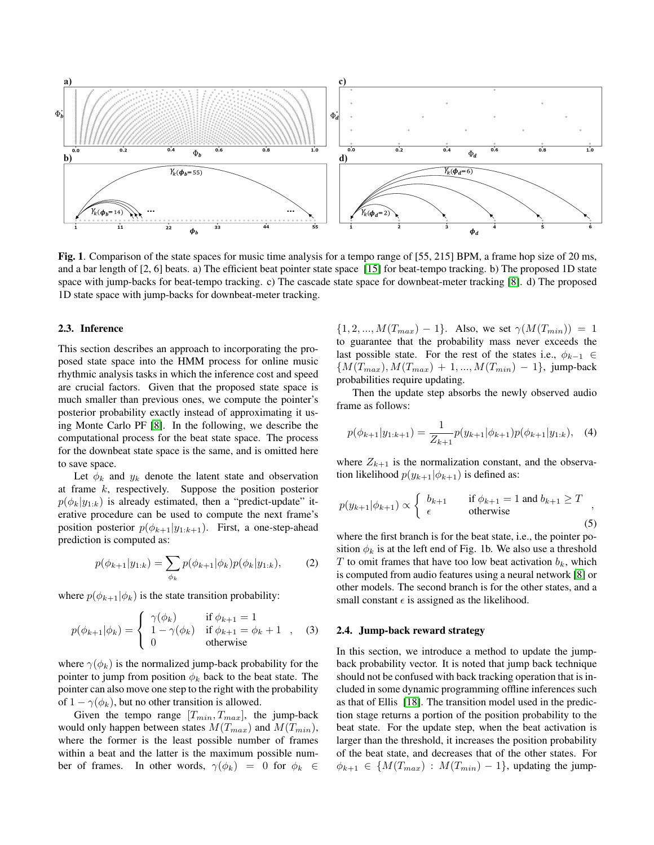

Fig. 1. Comparison of the state spaces for music time analysis for a tempo range of [55, 215] BPM, a frame hop size of 20 ms, and a bar length of [2, 6] beats. a) The efficient beat pointer state space [\[15\]](#page-4-14) for beat-tempo tracking. b) The proposed 1D state space with jump-backs for beat-tempo tracking. c) The cascade state space for downbeat-meter tracking [\[8\]](#page-4-7). d) The proposed 1D state space with jump-backs for downbeat-meter tracking.

#### 2.3. Inference

This section describes an approach to incorporating the proposed state space into the HMM process for online music rhythmic analysis tasks in which the inference cost and speed are crucial factors. Given that the proposed state space is much smaller than previous ones, we compute the pointer's posterior probability exactly instead of approximating it using Monte Carlo PF [\[8\]](#page-4-7). In the following, we describe the computational process for the beat state space. The process for the downbeat state space is the same, and is omitted here to save space.

Let  $\phi_k$  and  $y_k$  denote the latent state and observation at frame k, respectively. Suppose the position posterior  $p(\phi_k|y_{1:k})$  is already estimated, then a "predict-update" iterative procedure can be used to compute the next frame's position posterior  $p(\phi_{k+1}|y_{1:k+1})$ . First, a one-step-ahead prediction is computed as:

$$
p(\phi_{k+1}|y_{1:k}) = \sum_{\phi_k} p(\phi_{k+1}|\phi_k) p(\phi_k|y_{1:k}), \quad (2)
$$

where  $p(\phi_{k+1}|\phi_k)$  is the state transition probability:

$$
p(\phi_{k+1}|\phi_k) = \begin{cases} \gamma(\phi_k) & \text{if } \phi_{k+1} = 1 \\ 1 - \gamma(\phi_k) & \text{if } \phi_{k+1} = \phi_k + 1 \\ 0 & \text{otherwise} \end{cases}
$$
 (3)

where  $\gamma(\phi_k)$  is the normalized jump-back probability for the pointer to jump from position  $\phi_k$  back to the beat state. The pointer can also move one step to the right with the probability of  $1 - \gamma(\phi_k)$ , but no other transition is allowed.

Given the tempo range  $[T_{min}, T_{max}]$ , the jump-back would only happen between states  $M(T_{max})$  and  $M(T_{min})$ , where the former is the least possible number of frames within a beat and the latter is the maximum possible number of frames. In other words,  $\gamma(\phi_k) = 0$  for  $\phi_k \in$ 

 ${1, 2, ..., M(T_{max}) - 1}.$  Also, we set  $\gamma(M(T_{min})) = 1$ to guarantee that the probability mass never exceeds the last possible state. For the rest of the states i.e.,  $\phi_{k-1} \in$  ${M(T_{max}), M(T_{max}) + 1, ..., M(T_{min}) - 1},$  jump-back probabilities require updating.

Then the update step absorbs the newly observed audio frame as follows:

$$
p(\phi_{k+1}|y_{1:k+1}) = \frac{1}{Z_{k+1}} p(y_{k+1}|\phi_{k+1}) p(\phi_{k+1}|y_{1:k}), \quad (4)
$$

where  $Z_{k+1}$  is the normalization constant, and the observation likelihood  $p(y_{k+1}|\phi_{k+1})$  is defined as:

$$
p(y_{k+1}|\phi_{k+1}) \propto \begin{cases} b_{k+1} & \text{if } \phi_{k+1} = 1 \text{ and } b_{k+1} \ge T \\ \epsilon & \text{otherwise} \end{cases}
$$
\n(5)

where the first branch is for the beat state, i.e., the pointer position  $\phi_k$  is at the left end of Fig. 1b. We also use a threshold T to omit frames that have too low beat activation  $b_k$ , which is computed from audio features using a neural network [\[8\]](#page-4-7) or other models. The second branch is for the other states, and a small constant  $\epsilon$  is assigned as the likelihood.

#### 2.4. Jump-back reward strategy

In this section, we introduce a method to update the jumpback probability vector. It is noted that jump back technique should not be confused with back tracking operation that is included in some dynamic programming offline inferences such as that of Ellis [\[18\]](#page-4-17). The transition model used in the prediction stage returns a portion of the position probability to the beat state. For the update step, when the beat activation is larger than the threshold, it increases the position probability of the beat state, and decreases that of the other states. For  $\phi_{k+1} \in \{M(T_{max}) : M(T_{min}) - 1\}$ , updating the jump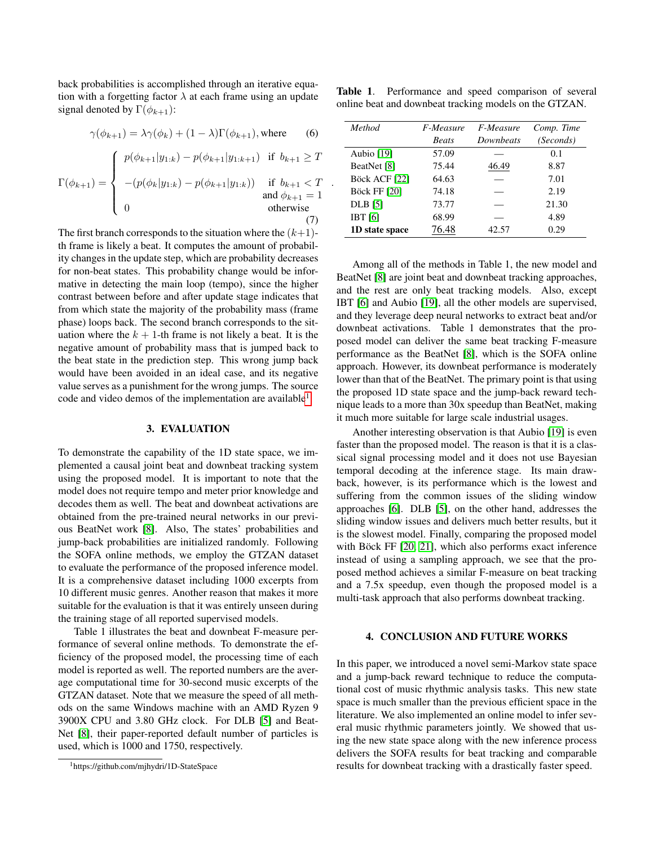back probabilities is accomplished through an iterative equation with a forgetting factor  $\lambda$  at each frame using an update signal denoted by  $\Gamma(\phi_{k+1})$ :

$$
\gamma(\phi_{k+1}) = \lambda \gamma(\phi_k) + (1 - \lambda) \Gamma(\phi_{k+1}), \text{where} \qquad (6)
$$

$$
\Gamma(\phi_{k+1}) = \begin{cases}\n p(\phi_{k+1}|y_{1:k}) - p(\phi_{k+1}|y_{1:k+1}) & \text{if } b_{k+1} \ge T \\
-(p(\phi_k|y_{1:k}) - p(\phi_{k+1}|y_{1:k})) & \text{if } b_{k+1} < T \\
0 & \text{otherwise}\n\end{cases}
$$
\n(7)

The first branch corresponds to the situation where the  $(k+1)$ th frame is likely a beat. It computes the amount of probability changes in the update step, which are probability decreases for non-beat states. This probability change would be informative in detecting the main loop (tempo), since the higher contrast between before and after update stage indicates that from which state the majority of the probability mass (frame phase) loops back. The second branch corresponds to the situation where the  $k + 1$ -th frame is not likely a beat. It is the negative amount of probability mass that is jumped back to the beat state in the prediction step. This wrong jump back would have been avoided in an ideal case, and its negative value serves as a punishment for the wrong jumps. The source code and video demos of the implementation are available<sup>[1](#page-3-0)</sup>.

## 3. EVALUATION

To demonstrate the capability of the 1D state space, we implemented a causal joint beat and downbeat tracking system using the proposed model. It is important to note that the model does not require tempo and meter prior knowledge and decodes them as well. The beat and downbeat activations are obtained from the pre-trained neural networks in our previous BeatNet work [\[8\]](#page-4-7). Also, The states' probabilities and jump-back probabilities are initialized randomly. Following the SOFA online methods, we employ the GTZAN dataset to evaluate the performance of the proposed inference model. It is a comprehensive dataset including 1000 excerpts from 10 different music genres. Another reason that makes it more suitable for the evaluation is that it was entirely unseen during the training stage of all reported supervised models.

Table 1 illustrates the beat and downbeat F-measure performance of several online methods. To demonstrate the efficiency of the proposed model, the processing time of each model is reported as well. The reported numbers are the average computational time for 30-second music excerpts of the GTZAN dataset. Note that we measure the speed of all methods on the same Windows machine with an AMD Ryzen 9 3900X CPU and 3.80 GHz clock. For DLB [\[5\]](#page-4-4) and Beat-Net [\[8\]](#page-4-7), their paper-reported default number of particles is used, which is 1000 and 1750, respectively.

Table 1. Performance and speed comparison of several online beat and downbeat tracking models on the GTZAN.

| Method              | F-Measure    | <i>F-Measure</i> | Comp. Time |
|---------------------|--------------|------------------|------------|
|                     | <b>Beats</b> | Downbeats        | (Seconds)  |
| Aubio [19]          | 57.09        |                  | 0.1        |
| BeatNet [8]         | 75.44        | 46.49            | 8.87       |
| Böck ACF [22]       | 64.63        |                  | 7.01       |
| <b>Böck FF [20]</b> | 74.18        |                  | 2.19       |
| <b>DLB</b> [5]      | 73.77        |                  | 21.30      |
| IBT <sub>[6]</sub>  | 68.99        |                  | 4.89       |
| 1D state space      | 76.48        | 42.57            | 0.29       |

.

Among all of the methods in Table 1, the new model and BeatNet [\[8\]](#page-4-7) are joint beat and downbeat tracking approaches, and the rest are only beat tracking models. Also, except IBT [\[6\]](#page-4-5) and Aubio [\[19\]](#page-4-18), all the other models are supervised, and they leverage deep neural networks to extract beat and/or downbeat activations. Table 1 demonstrates that the proposed model can deliver the same beat tracking F-measure performance as the BeatNet [\[8\]](#page-4-7), which is the SOFA online approach. However, its downbeat performance is moderately lower than that of the BeatNet. The primary point is that using the proposed 1D state space and the jump-back reward technique leads to a more than 30x speedup than BeatNet, making it much more suitable for large scale industrial usages.

Another interesting observation is that Aubio [\[19\]](#page-4-18) is even faster than the proposed model. The reason is that it is a classical signal processing model and it does not use Bayesian temporal decoding at the inference stage. Its main drawback, however, is its performance which is the lowest and suffering from the common issues of the sliding window approaches [\[6\]](#page-4-5). DLB [\[5\]](#page-4-4), on the other hand, addresses the sliding window issues and delivers much better results, but it is the slowest model. Finally, comparing the proposed model with Böck FF  $[20, 21]$  $[20, 21]$ , which also performs exact inference instead of using a sampling approach, we see that the proposed method achieves a similar F-measure on beat tracking and a 7.5x speedup, even though the proposed model is a multi-task approach that also performs downbeat tracking.

### 4. CONCLUSION AND FUTURE WORKS

In this paper, we introduced a novel semi-Markov state space and a jump-back reward technique to reduce the computational cost of music rhythmic analysis tasks. This new state space is much smaller than the previous efficient space in the literature. We also implemented an online model to infer several music rhythmic parameters jointly. We showed that using the new state space along with the new inference process delivers the SOFA results for beat tracking and comparable results for downbeat tracking with a drastically faster speed.

<span id="page-3-0"></span><sup>1</sup>https://github.com/mjhydri/1D-StateSpace